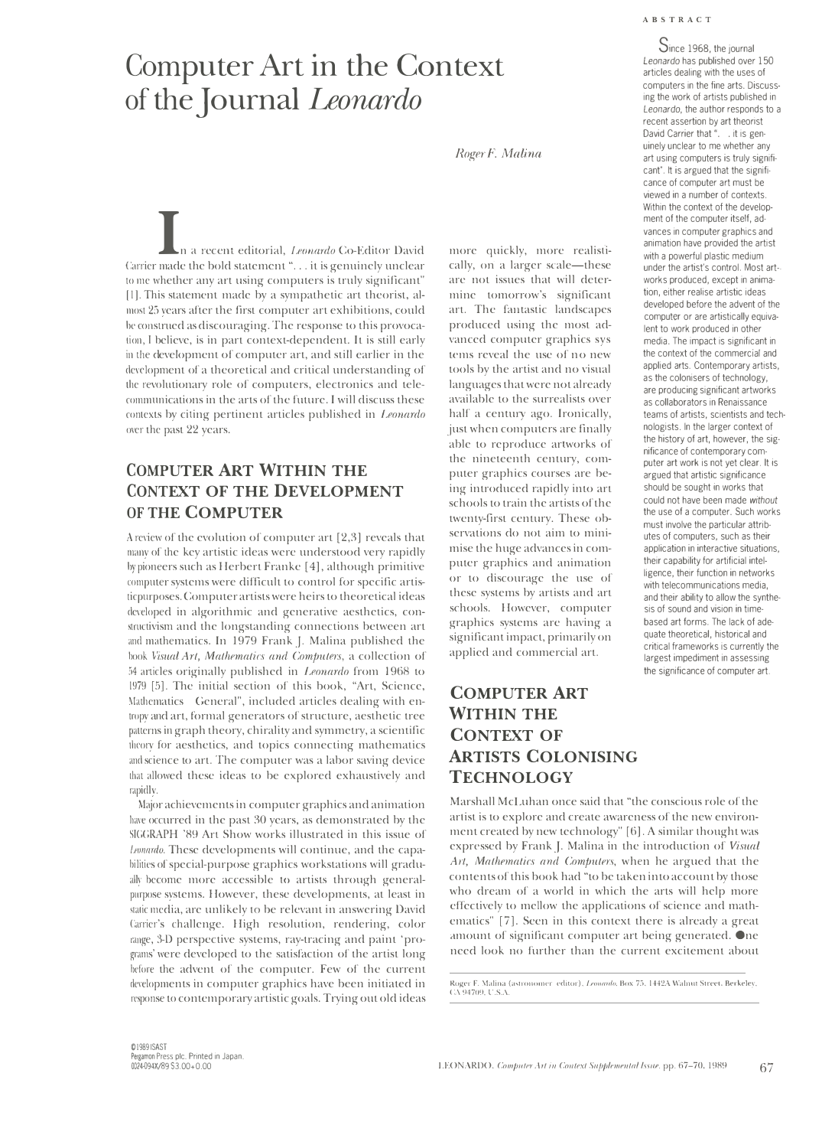# **Computer Art in the Context of the Journal** *Leonardo*

*Roger F Malina* 

In a recent editorial, *Leonardo* Co-Editor David Carrier made the bold statement "... it is genuinely unclear to me whether any art using computers is truly significant" [!]. This statement made by a sympathetic art theorist, almost 25 years after the first computer art exhibitions, could be construed as discouraging. The response to this provocation, I believe, is in part context-dependent. It is still early in the development of computer art, and still earlier in the development of a theoretical and critical understanding of the revolutionary role of computers, electronics and telecommunications in the arts of the future. I will discuss these contexts by citing pertinent articles published in *Leonardo* over the past 22 years.

#### **COMPUTER ART WITHIN THE CONTEXT OF THE DEVELOPMENT OF THE COMPUTER**

A review of the evolution of computer art [2,3] reveals that many of the key artistic ideas were understood very rapidly by pioneers such as Herbert Franke [ 4], although primitive computer systems were difficult to control for specific artistic purposes. Computer artists were heirs to theoretical ideas developed in algorithmic and generative aesthetics, constructivism and the longstanding connections between art and mathematics. In 1979 Frank J. Malina published the hook *Visual Art, Mathematics and Computers,* a collection of 54 articles originally published in *Leonardo* from 1968 to 1979 [5]. The initial section of this book, "Art, Science, Mathematics General", included articles dealing with entropy and art, formal generators of structure, aesthetic tree patterns in graph theory, chirality and symmetry, a scientific theory for aesthetics, and topics connecting mathematics and science to art. The computer was a labor saving device that allowed these ideas to be explored exhaustively and rapidly.

Major achievements in computer graphics and animation have occurred in the past 30 years, as demonstrated by the SIGGRAPH '89 Art Show works illustrated in this issue of *l.tonardo.* These developments will continue, and the capabilities of special-purpose graphics workstations will gradually become more accessible to artists through generalpurpose systems. However, these developments, at least in static media, are unlikely to be relevant in answering David Carrier's challenge. High resolution, rendering, color range, 3-0 perspective systems, ray-tracing and paint 'programs' were developed to the satisfaction of the artist long before the advent of the computer. Few of the current developments in computer graphics have been initiated in response to contemporary artistic goals. Trying out old ideas more quickly, more realistically, on a larger scale-these arc not issues that will determine tomorrow's significant art. The fantastic landscapes produced using the most advanced computer graphics systems reveal the use of no new tools by the artist and no visual languages that were not already available to the surrealists over half a century ago. Ironically, just when computers are finally able to reproduce artworks of the nineteenth century, computer graphics courses are being introduced rapidly into art schools to train the artists of the twenty-first century. These observations do not aim to minimise the huge advances in computer graphics and animation or to discourage the use of these systems by artists and art schools. However, computer graphics systems are having a significant impact, primarily on applied and commercial art.

#### **COMPUTER ART WITHIN THE CONTEXT OF ARTISTS COLONISING TECHNOLOGY**

Marshall McLuhan once said that "the conscious role of the artist is to explore and create awareness of the new environment created by new technology" [6]. A similar thought was expressed by Frank]. Malina in the introduction of *Visual* Art, Mathematics and Computers, when he argued that the contents of this book had "to be taken into account by those who dream of a world in which the arts will help more effectively to mellow the applications of science and mathematics" [7]. Seen in this context there is already a great amount of significant computer art being generated. One need look no further than the current excitement about

Roger F. Malina (astronomer editor). *Leonardo, Box 75*, 1442A Walnut Street. Berkeley. **CA 94709. L'.S.A.** 

 $S<sub>ince</sub>$  1968, the journal *Leonardo* has published over 150 articles dealing with the uses of computers in the fine arts. Discussing the work of artists published in *Leonardo,* the author responds to a recent assertion by art theorist David Carrier that ". . it is genuinely unclear to me whether any art using computers is truly significant". It is argued that the significance of computer art must be viewed in a number of contexts. Within the context of the development of the computer itself, advances in computer graphics and animation have provided the artist with a powerful plastic medium under the artist's control. Most art-. works produced, except in animation, either realise artistic ideas developed before the advent of the computer or are artistically equivalent to work produced in other media. The impact is significant in the context of the commercial and applied arts. Contemporary artists, as the colonisers of technology, are producing significant artworks as collaborators in Renaissance teams of artists, scientists and technologists. In the larger context of the history of art, however, the significance of contemporary computer art work is not yet clear. It is argued that artistic significance should be sought in works that could not have been made *without*  the use of a computer. Such works must involve the particular attributes of computers, such as their application in interactive situations, their capability for artificial intelligence, their function in networks with telecommunications media, and their ability to allow the synthesis of sound and vision in timebased art forms. The lack of adequate theoretical, historical and critical frameworks is currently the largest impediment in assessing the significance of computer art.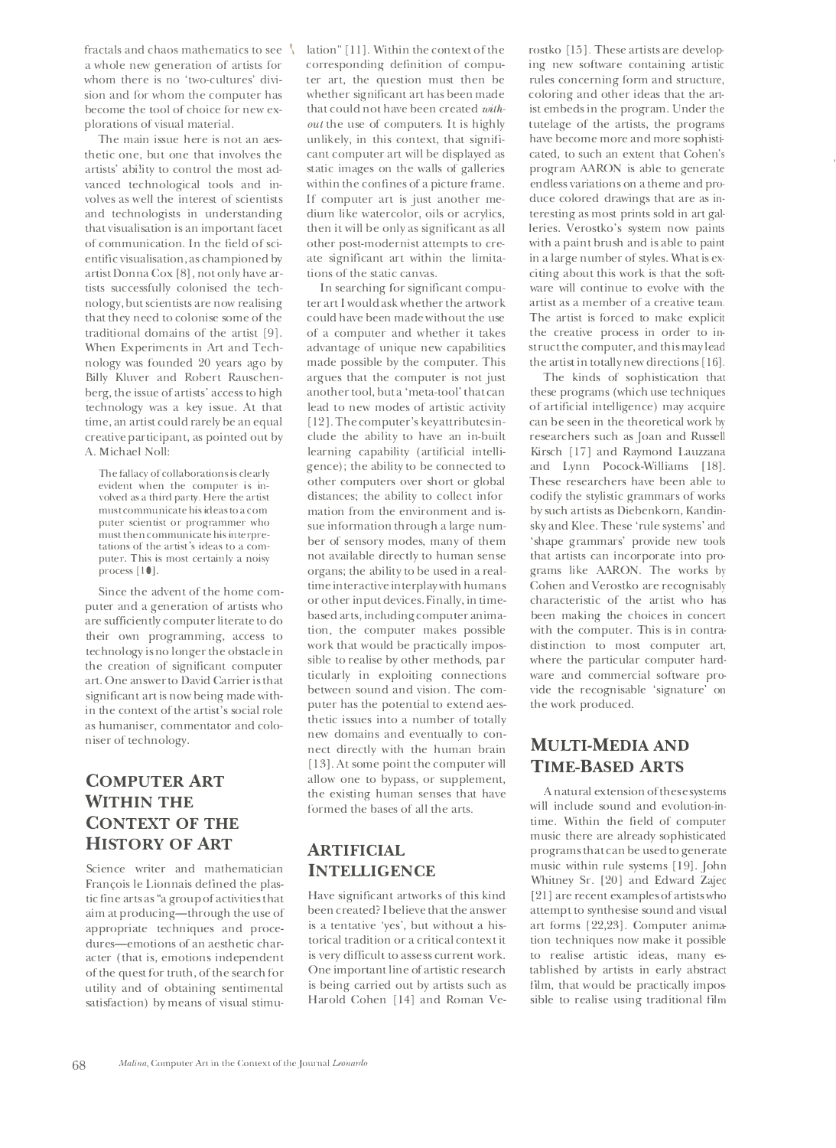fractals and chaos mathematics to see \ a whole new generation of artists for whom there is no 'two-cultures' division and for whom the computer has become the tool of choice for new explorations of visual material.

The main issue here is not an aesthetic one, but one that involves the artists' ability to control the most advanced technological tools and involves as well the interest of scientists and technologists in understanding that visualisation is an important facet of communication. In the field of scientific visualisation, as championed by artist Donna Cox [8], not only have artists successfully colonised the technology, but scientists are now realising that they need to colonise some of the traditional domains of the artist [9]. When Experiments in Art and Technology was founded 20 years ago by Billy Kluver and Robert Rauschenberg, the issue of artists' access to high technology was a key issue. At that time, an artist could rarely be an equal creative participant, as pointed out by A. Michael Noll:

The fallacy of collaborations is clearly evident when the computer is involved as a third party. Here the artist must communicate his ideas to a com puter scientist or programmer who must then communicate his interpretations of the artist's ideas to a computer. This is most certainly a noisy process [10].

Since the advent of the home computer and a generation of artists who are sufficiently computer literate to do their own programming, access to technology is no longer the obstacle in the creation of significant computer art. One answer to David Carrier is that significant art is now being made within the context of the artist's social role as humaniser, commentator and coloniser of technology.

### **COMPUTER ART WITHIN THE CONTEXT OF THE HISTORY OF ART**

Science writer and mathematician François le Lionnais defined the plastic fine arts as "a group of activities that aim at producing-through the use of appropriate techniques and procedures-emotions of an aesthetic character (that is, emotions independent of the quest for truth, of the search for utility and of obtaining sentimental satisfaction) by means of visual stimulation" [11]. Within the context of the corresponding definition of computer art, the question must then be whether significant art has been made that could not have been created *without* the use of computers. It is highly unlikely, in this context, that significant computer art will be displayed as static images on the walls of galleries within the confines of a picture frame. If computer art is just another medium like watercolor, oils or acrylics, then it will be only as significant as all other post-modernist attempts to create significant art within the limitations of the static canvas.

In searching for significant computer art I would ask whether the artwork could have been made without the use of a computer and whether it takes advantage of unique new capabilities made possible by the computer. This argues that the computer is not just another tool, but a 'meta-tool' that can lead to new modes of artistic activity [ 12]. The computer's key attributes include the ability to have an in-built learning capability (artificial intelligence); the ability to be connected to other computers over short or global distances; the ability to collect infor mation from the environment and issue information through a large number of sensory modes, many of them not available directly to human sense organs; the ability to be used in a realtime interactive interplaywith humans or other input devices. Finally, in timebased arts, including computer animation, the computer makes possible work that would be practically impossible to realise by other methods, particularly in exploiting connections between sound and vision. The computer has the potential to extend aesthetic issues into a number of totally new domains and eventually to connect directly with the human brain [13]. At some point the computer will allow one to bypass, or supplement, the existing human senses that have formed the bases of all the arts.

## **ARTIFICIAL INTELLIGENCE**

Have significant artworks of this kind been created? I believe that the answer is a tentative 'yes', but without a historical tradition or a critical context it is very difficult to assess current work. One important line of artistic research is being carried out by artists such as Harold Cohen [14] and Roman Verostko [ 15]. These artists are developing new software containing artistic rules concerning form and structure, coloring and other ideas that the artist embeds in the program. Under the tutelage of the artists, the programs have become more and more sophisticated, to such an extent that Cohen's program AARON is able to generate endless variations on a theme and produce colored drawings that are as interesting as most prints sold in art galleries. Verostko's system now paints with a paint brush and is able to paint in a large number of styles. What is exciting about this work is that the software will continue to evolve with the artist as a member of a creative team. The artist is forced to make explicit the creative process in order to instruct the computer, and this may lead the artist in totally new directions [ 16].

The kinds of sophistication that these programs (which use techniques of artificial intelligence) may acquire can be seen in the theoretical work by researchers such as Joan and Russell Kirsch [17] and Raymond Lauzzana and Lynn Pocock-Williams [18]. These researchers have been able to codify the stylistic grammars of works by such artists as Diebenkorn, Kandinsky and Klee. These 'rule systems' and 'shape grammars' provide new tools that artists can incorporate into programs like AARON. The works by Cohen and Verostko are recognisably characteristic of the artist who has been making the choices in concert with the computer. This is in contradistinction to most computer art, where the particular computer hardware and commercial software provide the recognisable 'signature' on the work produced.

#### **MULTI-MEDIA AND TIME-BASED ARTS**

A natural extension of these systems will include sound and evolution-intime. Within the field of computer music there are already sophisticated programs that can be used to generate music within rule systems [19]. john Whitney Sr. [20] and Edward Zajec [21] are recent examples of artists who attempt to synthesise sound and visual art forms [22,23]. Computer animation techniques now make it possible to realise artistic ideas, many established by artists in early abstract film, that would be practically impossible to realise using traditional film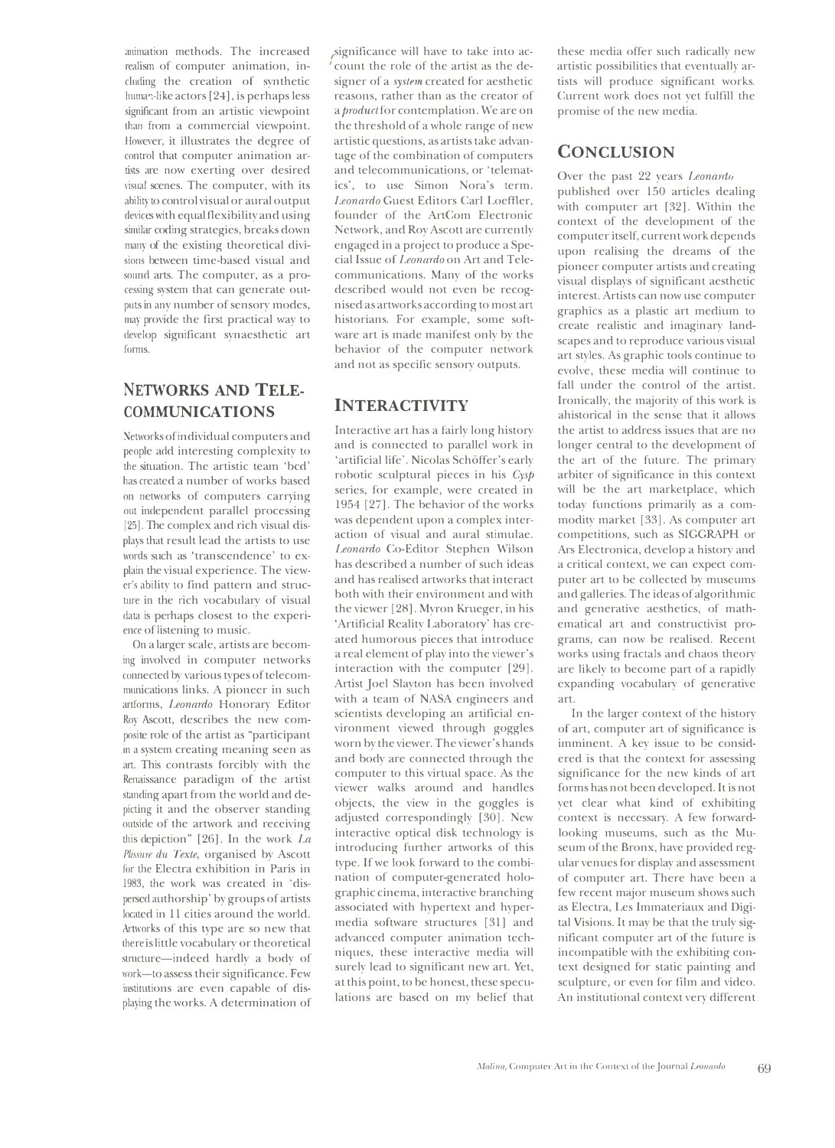animation methods. The increased realism of computer animation, including the creation of synthetic human-like actors  $[24]$ , is perhaps less significant from an artistic viewpoint than from a commercial viewpoint. However, it illustrates the degree of control that computer animation artists are now exerting over desired visual scenes. The computer, with its ability to control visual or aural output devices with equal flexibility and using similar coding strategies, breaks down many of the existing theoretical divisions between time-based visual and sound arts. The computer, as a processing system that can generate outputs in any number of sensory modes, may provide the first practical way to develop significant synaesthetic art forms.

#### **NETWORKS AND TELE-COMMUNICATIONS**

Networks of individual computers and people add interesting complexity to the situation. The artistic team 'bed' has created a number of works based on networks of computers carrying out independent parallel processing [25]. The complex and rich visual displays that result lead the artists to use words such as 'transcendence' to explain the visual experience. The viewer's ability to find pattern and structure in the rich vocabulary of visual data is perhaps closest to the experience of listening to music.

On a larger scale, artists are becoming involved in computer networks connected by various types of telecommunications links. A pioneer in such artforms, *Leonardo* Honorary Editor Roy Ascott, describes the new composite role of the artist as "participant in a system creating meaning seen as art. This contrasts forcibly with the Renaissance paradigm of the artist standing apart from the world and depicting it and the observer standing outside of the artwork and receiving this depiction" [26). In the work *La Plissure du Texte,* organised by Ascott for the Electra exhibition in Paris in 1983, the work was created in 'dispersed authorship' by groups of artists located in 11 cities around the world. Artworks of this type arc so new that there is little vocabulary or theoretical structure-indeed hardly a body of work-to assess their significance. Few institutions are even capable of displaying the works. A determination of , significance will have to take into account the role of the artist as the designer of a *system* created for aesthetic reasons, rather than as the creator of a *product* for contemplation. We are on the threshold of a whole range of new artistic questions, as artists take advantage of the combination of computers and telecommunications, or 'telematics', to use Simon Nora's term. *Leonardo* Guest Editors Carl Loeffler, founder of the ArtCom Electronic Network, and Roy Ascott are currently engaged in a project to produce a Special Issue of *Leonardo* on Art and Telecommunications. Many of the works described would not even be recognised as artworks according to most art historians. For example, some software art is made manifest only by the behavior of the computer network and not as specific sensory outputs.

#### **INTERACTIVITY**

Interactive art has a fairly long history and is connected to parallel work in 'artificial life'. Nicolas Schoffer's early robotic sculptural pieces in his *Cysp*  series, for example, were created in 1954 [27). The behavior of the works was dependent upon a complex interaction of visual and aural stimulae. *Leonardo* Co-Editor Stephen Wilson has described a number of such ideas and has realised artworks that interact both with their environment and with the viewer (28). Myron Krueger, in his 'Artificial Reality Laboratory' has created humorous pieces that introduce a real element of play into the viewer's interaction with the computer [29). Artist Joel Slayton has been involved with a team of NASA engineers and scientists developing an artificial environment viewed through goggles worn by the viewer. The viewer's hands and body are connected through the computer to this virtual space. As the viewer walks around and handles objects, the view in the goggles is adjusted correspondingly [30]. New interactive optical disk technology is introducing further artworks of this type. If we look forward to the combination of computer-generated holographic cinema, interactive branching associated with hypertext and hypermedia software structures [31) and advanced computer animation techniques, these interactive media will surely lead to significant new art. Yet, at this point, to be honest, these spect1 lations are based on my belief that

these media offer such radically new artistic possibilities that eventually artists will produce significant works. Current work does not yet fulfill the promise of the new media.

#### **CONCLUSION**

Over the past 22 years *Leonardu*  published over 150 articles dealing with computer art [32). Within the context of the development of the computer itself, current work depends upon realising the dreams of the pioneer computer artists and creating visual displays of significant aesthetic interest. Artists can now use computer graphics as a plastic art medium to create realistic and imaginary landscapes and to reproduce various visual art styles. As graphic tools continue to evolve, these media will continue to fall under the control of the artist. Ironically, the majority of this work is ahistorical in the sense that it allows the artist to address issues that are no longer central to the development of the art of the future. The primary arbiter of significance in this context will be the art marketplace, which today functions primarily as a commodity market [33]. As computer art competitions, such as SIGGRAPH or Ars Electronica, develop a history and a critical context, we can expect computer art to be collected by museums and galleries. The ideas of algorithmic and generative aesthetics, of mathematical art and constructivist programs, can now be realised. Recent works using fractals and chaos theory are likely to become part of a rapidly expanding vocabulary of generative art.

In the larger context of the history of art, computer art of significance is imminent. A key issue to be considered is that the context for assessing significance for the new kinds of art forms has not been developed. It is not yet clear what kind of exhibiting context is necessary. A few forwardlooking museums, such as the Museum of the Bronx, have provided regular venues for display and assessment of computer art. There have been a few recent major museum shows such as Electra, Les Immateriaux and Digital Visions. It may be that the truly significant computer art of the future is incompatible with the exhibiting context designed for static painting and sculpture, or even for film and video. An institutional context very different